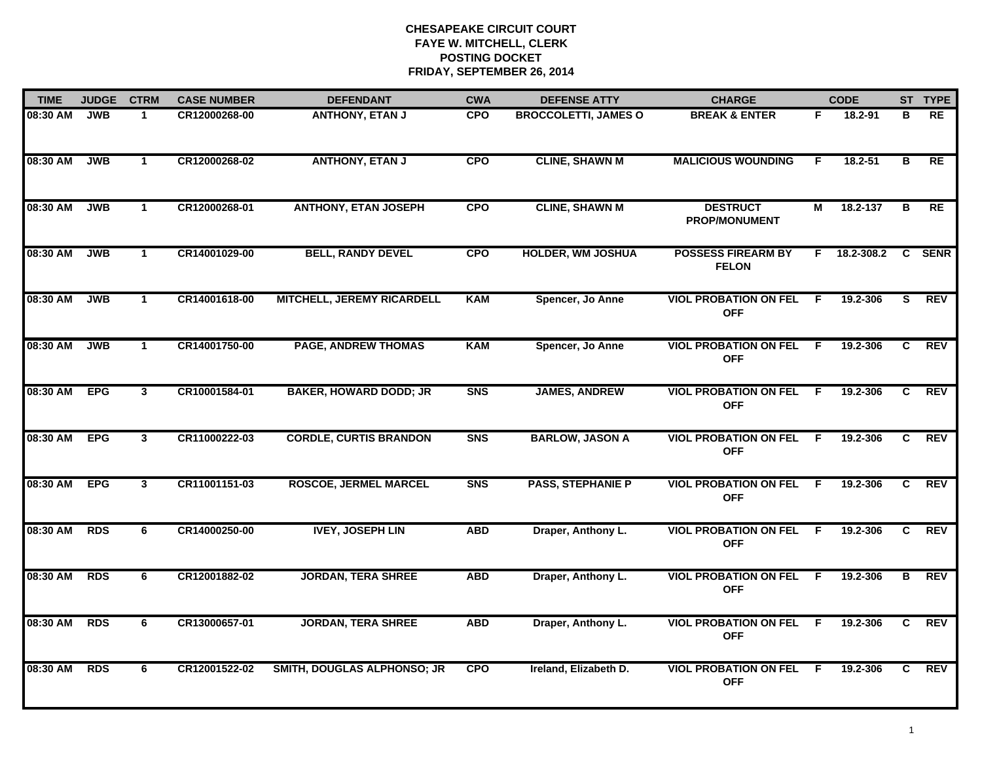| <b>TIME</b> | <b>JUDGE</b> | <b>CTRM</b>    | <b>CASE NUMBER</b> | <b>DEFENDANT</b>                   | <b>CWA</b>     | <b>DEFENSE ATTY</b>         | <b>CHARGE</b>                              |     | <b>CODE</b> |                | ST TYPE     |
|-------------|--------------|----------------|--------------------|------------------------------------|----------------|-----------------------------|--------------------------------------------|-----|-------------|----------------|-------------|
| 08:30 AM    | <b>JWB</b>   | 1              | CR12000268-00      | <b>ANTHONY, ETAN J</b>             | <b>CPO</b>     | <b>BROCCOLETTI, JAMES O</b> | <b>BREAK &amp; ENTER</b>                   | F.  | 18.2-91     | в              | <b>RE</b>   |
| 08:30 AM    | <b>JWB</b>   | $\mathbf{1}$   | CR12000268-02      | <b>ANTHONY, ETAN J</b>             | <b>CPO</b>     | <b>CLINE, SHAWN M</b>       | <b>MALICIOUS WOUNDING</b>                  | F   | 18.2-51     | в              | <b>RE</b>   |
| 08:30 AM    | <b>JWB</b>   | $\mathbf 1$    | CR12000268-01      | <b>ANTHONY, ETAN JOSEPH</b>        | <b>CPO</b>     | <b>CLINE, SHAWN M</b>       | <b>DESTRUCT</b><br>PROP/MONUMENT           | М   | 18.2-137    | в              | <b>RE</b>   |
| 08:30 AM    | <b>JWB</b>   | $\mathbf 1$    | CR14001029-00      | <b>BELL, RANDY DEVEL</b>           | <b>CPO</b>     | <b>HOLDER, WM JOSHUA</b>    | <b>POSSESS FIREARM BY</b><br><b>FELON</b>  | F.  | 18.2-308.2  | C.             | <b>SENR</b> |
| 08:30 AM    | <b>JWB</b>   | $\mathbf 1$    | CR14001618-00      | <b>MITCHELL, JEREMY RICARDELL</b>  | <b>KAM</b>     | Spencer, Jo Anne            | <b>VIOL PROBATION ON FEL</b><br><b>OFF</b> | F.  | 19.2-306    | s              | <b>REV</b>  |
| 08:30 AM    | <b>JWB</b>   | $\mathbf 1$    | CR14001750-00      | <b>PAGE, ANDREW THOMAS</b>         | <b>KAM</b>     | Spencer, Jo Anne            | <b>VIOL PROBATION ON FEL</b><br><b>OFF</b> | - F | 19.2-306    | C.             | REV         |
| 08:30 AM    | <b>EPG</b>   | $\overline{3}$ | CR10001584-01      | <b>BAKER, HOWARD DODD; JR</b>      | S <sub>N</sub> | <b>JAMES, ANDREW</b>        | <b>VIOL PROBATION ON FEL</b><br><b>OFF</b> | F.  | 19.2-306    | C              | <b>REV</b>  |
| 08:30 AM    | <b>EPG</b>   | $\mathbf{3}$   | CR11000222-03      | <b>CORDLE, CURTIS BRANDON</b>      | <b>SNS</b>     | <b>BARLOW, JASON A</b>      | <b>VIOL PROBATION ON FEL</b><br><b>OFF</b> | F.  | 19.2-306    | C.             | <b>REV</b>  |
| 08:30 AM    | <b>EPG</b>   | $\mathbf{3}$   | CR11001151-03      | <b>ROSCOE, JERMEL MARCEL</b>       | S <sub>N</sub> | <b>PASS, STEPHANIE P</b>    | <b>VIOL PROBATION ON FEL</b><br><b>OFF</b> | - F | 19.2-306    | C              | <b>REV</b>  |
| 08:30 AM    | <b>RDS</b>   | 6              | CR14000250-00      | <b>IVEY, JOSEPH LIN</b>            | <b>ABD</b>     | Draper, Anthony L.          | <b>VIOL PROBATION ON FEL</b><br><b>OFF</b> | -F  | 19.2-306    | C.             | <b>REV</b>  |
| 08:30 AM    | <b>RDS</b>   | 6              | CR12001882-02      | <b>JORDAN, TERA SHREE</b>          | <b>ABD</b>     | Draper, Anthony L.          | <b>VIOL PROBATION ON FEL</b><br><b>OFF</b> | F.  | 19.2-306    | В              | REV         |
| 08:30 AM    | <b>RDS</b>   | 6              | CR13000657-01      | <b>JORDAN, TERA SHREE</b>          | <b>ABD</b>     | Draper, Anthony L.          | <b>VIOL PROBATION ON FEL</b><br><b>OFF</b> | F.  | 19.2-306    | $\overline{c}$ | <b>REV</b>  |
| 08:30 AM    | <b>RDS</b>   | 6              | CR12001522-02      | <b>SMITH, DOUGLAS ALPHONSO; JR</b> | <b>CPO</b>     | Ireland, Elizabeth D.       | <b>VIOL PROBATION ON FEL</b><br><b>OFF</b> | -F. | 19.2-306    | C.             | <b>REV</b>  |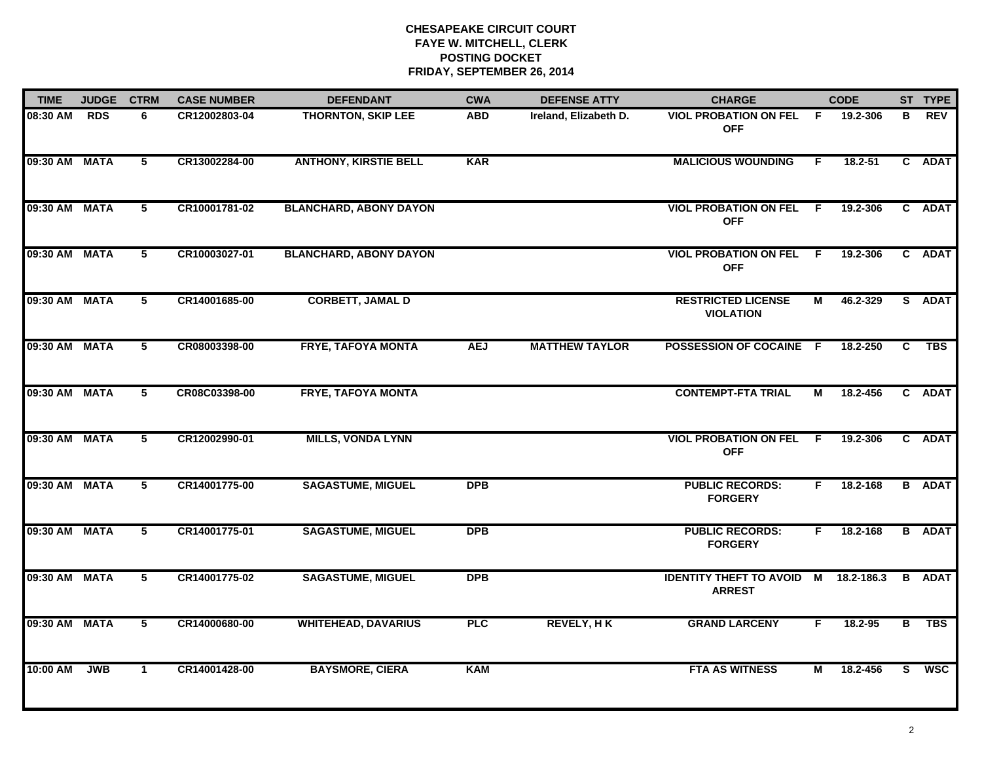| <b>TIME</b>   | <b>JUDGE</b> | <b>CTRM</b>     | <b>CASE NUMBER</b> | <b>DEFENDANT</b>              | <b>CWA</b> | <b>DEFENSE ATTY</b>   | <b>CHARGE</b>                                         | <b>CODE</b> |          |                | ST TYPE       |
|---------------|--------------|-----------------|--------------------|-------------------------------|------------|-----------------------|-------------------------------------------------------|-------------|----------|----------------|---------------|
| 08:30 AM RDS  |              | 6               | CR12002803-04      | <b>THORNTON, SKIP LEE</b>     | <b>ABD</b> | Ireland, Elizabeth D. | <b>VIOL PROBATION ON FEL F</b><br><b>OFF</b>          |             | 19.2-306 | В              | <b>REV</b>    |
| 09:30 AM MATA |              | $5\phantom{.0}$ | CR13002284-00      | <b>ANTHONY, KIRSTIE BELL</b>  | <b>KAR</b> |                       | <b>MALICIOUS WOUNDING</b>                             | F.          | 18.2-51  |                | C ADAT        |
| 09:30 AM MATA |              | $5\phantom{.0}$ | CR10001781-02      | <b>BLANCHARD, ABONY DAYON</b> |            |                       | <b>VIOL PROBATION ON FEL</b><br><b>OFF</b>            | - F         | 19.2-306 |                | C ADAT        |
| 09:30 AM MATA |              | 5               | CR10003027-01      | <b>BLANCHARD, ABONY DAYON</b> |            |                       | <b>VIOL PROBATION ON FEL</b><br><b>OFF</b>            | - F         | 19.2-306 |                | C ADAT        |
| 09:30 AM MATA |              | 5               | CR14001685-00      | <b>CORBETT, JAMAL D</b>       |            |                       | <b>RESTRICTED LICENSE</b><br><b>VIOLATION</b>         | М           | 46.2-329 |                | S ADAT        |
| 09:30 AM MATA |              | 5               | CR08003398-00      | <b>FRYE, TAFOYA MONTA</b>     | <b>AEJ</b> | <b>MATTHEW TAYLOR</b> | POSSESSION OF COCAINE F                               |             | 18.2-250 | C.             | TBS           |
| 09:30 AM MATA |              | $\overline{5}$  | CR08C03398-00      | <b>FRYE, TAFOYA MONTA</b>     |            |                       | <b>CONTEMPT-FTA TRIAL</b>                             | М           | 18.2-456 |                | C ADAT        |
| 09:30 AM MATA |              | 5               | CR12002990-01      | <b>MILLS, VONDA LYNN</b>      |            |                       | <b>VIOL PROBATION ON FEL</b><br><b>OFF</b>            | - F         | 19.2-306 |                | C ADAT        |
| 09:30 AM MATA |              | 5               | CR14001775-00      | <b>SAGASTUME, MIGUEL</b>      | <b>DPB</b> |                       | <b>PUBLIC RECORDS:</b><br><b>FORGERY</b>              | F.          | 18.2-168 |                | <b>B</b> ADAT |
| 09:30 AM MATA |              | 5               | CR14001775-01      | <b>SAGASTUME, MIGUEL</b>      | <b>DPB</b> |                       | <b>PUBLIC RECORDS:</b><br><b>FORGERY</b>              | F.          | 18.2-168 |                | <b>B</b> ADAT |
| 09:30 AM MATA |              | 5               | CR14001775-02      | <b>SAGASTUME, MIGUEL</b>      | <b>DPB</b> |                       | IDENTITY THEFT TO AVOID M 18.2-186.3<br><b>ARREST</b> |             |          |                | <b>B</b> ADAT |
| 09:30 AM MATA |              | $\overline{5}$  | CR14000680-00      | <b>WHITEHEAD, DAVARIUS</b>    | <b>PLC</b> | <b>REVELY, HK</b>     | <b>GRAND LARCENY</b>                                  | F.          | 18.2-95  | $\overline{B}$ | <b>TBS</b>    |
| 10:00 AM      | <b>JWB</b>   | $\mathbf{1}$    | CR14001428-00      | <b>BAYSMORE, CIERA</b>        | <b>KAM</b> |                       | <b>FTA AS WITNESS</b>                                 | М           | 18.2-456 | S.             | <b>WSC</b>    |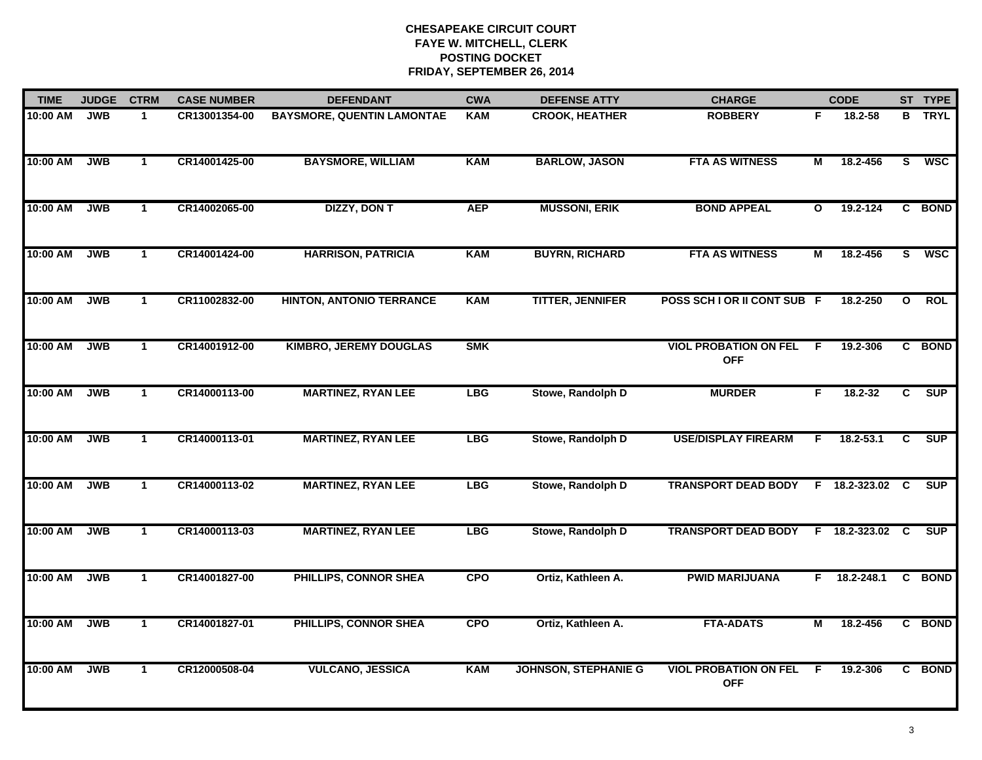| <b>TIME</b> | <b>JUDGE</b> | <b>CTRM</b>  | <b>CASE NUMBER</b> | <b>DEFENDANT</b>                  | <b>CWA</b> | <b>DEFENSE ATTY</b>         | <b>CHARGE</b>                                |              | <b>CODE</b>    |              | ST TYPE     |
|-------------|--------------|--------------|--------------------|-----------------------------------|------------|-----------------------------|----------------------------------------------|--------------|----------------|--------------|-------------|
| 10:00 AM    | <b>JWB</b>   | $\mathbf{1}$ | CR13001354-00      | <b>BAYSMORE, QUENTIN LAMONTAE</b> | <b>KAM</b> | <b>CROOK, HEATHER</b>       | <b>ROBBERY</b>                               | F            | $18.2 - 58$    | B            | <b>TRYL</b> |
| 10:00 AM    | <b>JWB</b>   | $\mathbf{1}$ | CR14001425-00      | <b>BAYSMORE, WILLIAM</b>          | <b>KAM</b> | <b>BARLOW, JASON</b>        | <b>FTA AS WITNESS</b>                        | М            | 18.2-456       | S            | <b>WSC</b>  |
| 10:00 AM    | <b>JWB</b>   | $\mathbf{1}$ | CR14002065-00      | <b>DIZZY, DON T</b>               | <b>AEP</b> | <b>MUSSONI, ERIK</b>        | <b>BOND APPEAL</b>                           | $\mathbf{o}$ | 19.2-124       |              | C BOND      |
| 10:00 AM    | <b>JWB</b>   | $\mathbf{1}$ | CR14001424-00      | <b>HARRISON, PATRICIA</b>         | KAM        | <b>BUYRN, RICHARD</b>       | <b>FTA AS WITNESS</b>                        | М            | 18.2-456       | S.           | <b>WSC</b>  |
| 10:00 AM    | <b>JWB</b>   | $\mathbf{1}$ | CR11002832-00      | <b>HINTON, ANTONIO TERRANCE</b>   | KAM        | <b>TITTER, JENNIFER</b>     | POSS SCH I OR II CONT SUB F                  |              | 18.2-250       | $\mathbf{o}$ | ROL         |
| 10:00 AM    | <b>JWB</b>   | $\mathbf{1}$ | CR14001912-00      | <b>KIMBRO, JEREMY DOUGLAS</b>     | <b>SMK</b> |                             | <b>VIOL PROBATION ON FEL F</b><br><b>OFF</b> |              | 19.2-306       |              | C BOND      |
| 10:00 AM    | <b>JWB</b>   | $\mathbf{1}$ | CR14000113-00      | <b>MARTINEZ, RYAN LEE</b>         | <b>LBG</b> | Stowe, Randolph D           | <b>MURDER</b>                                | F.           | 18.2-32        | C.           | <b>SUP</b>  |
| 10:00 AM    | <b>JWB</b>   | $\mathbf{1}$ | CR14000113-01      | <b>MARTINEZ, RYAN LEE</b>         | <b>LBG</b> | Stowe, Randolph D           | <b>USE/DISPLAY FIREARM</b>                   | F.           | $18.2 - 53.1$  | C            | <b>SUP</b>  |
| 10:00 AM    | <b>JWB</b>   | $\mathbf{1}$ | CR14000113-02      | <b>MARTINEZ, RYAN LEE</b>         | <b>LBG</b> | Stowe, Randolph D           | <b>TRANSPORT DEAD BODY</b>                   |              | F 18.2-323.02  | C            | <b>SUP</b>  |
| 10:00 AM    | <b>JWB</b>   | $\mathbf{1}$ | CR14000113-03      | <b>MARTINEZ, RYAN LEE</b>         | <b>LBG</b> | Stowe, Randolph D           | <b>TRANSPORT DEAD BODY</b>                   |              | F 18.2-323.02  | C            | <b>SUP</b>  |
| 10:00 AM    | <b>JWB</b>   | $\mathbf 1$  | CR14001827-00      | PHILLIPS, CONNOR SHEA             | <b>CPO</b> | Ortiz, Kathleen A.          | <b>PWID MARIJUANA</b>                        |              | $F$ 18.2-248.1 |              | C BOND      |
| 10:00 AM    | <b>JWB</b>   | $\mathbf{1}$ | CR14001827-01      | <b>PHILLIPS, CONNOR SHEA</b>      | <b>CPO</b> | Ortiz, Kathleen A.          | <b>FTA-ADATS</b>                             | М            | 18.2-456       | C.           | <b>BOND</b> |
| 10:00 AM    | <b>JWB</b>   | $\mathbf{1}$ | CR12000508-04      | <b>VULCANO, JESSICA</b>           | <b>KAM</b> | <b>JOHNSON, STEPHANIE G</b> | <b>VIOL PROBATION ON FEL</b><br><b>OFF</b>   | F            | 19.2-306       |              | C BOND      |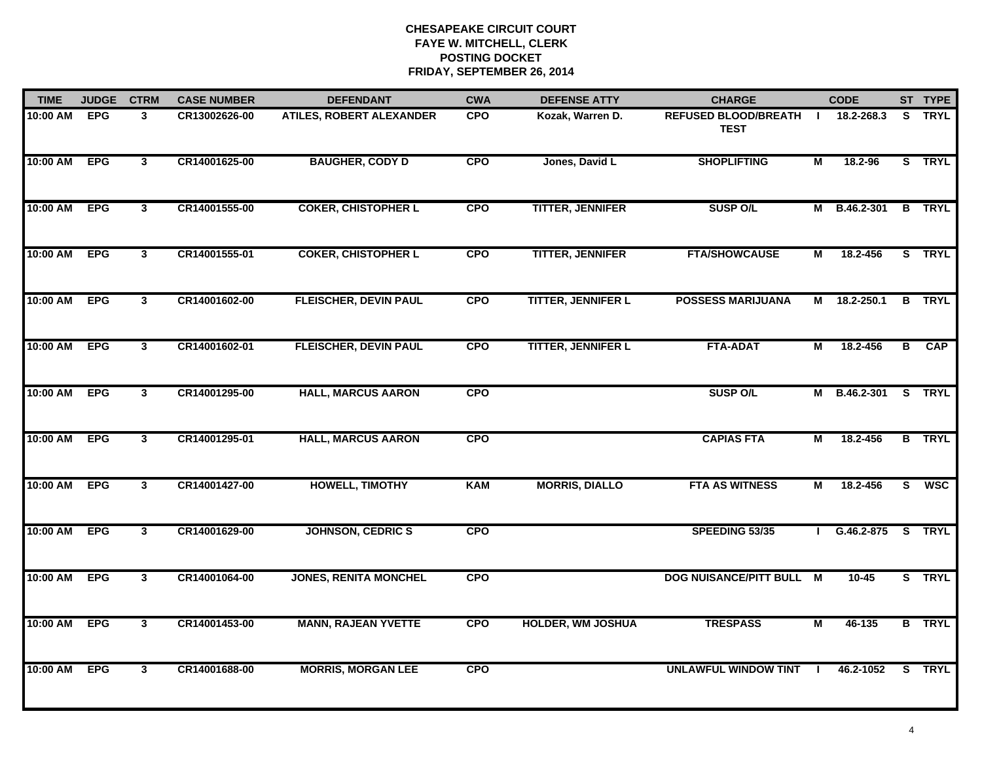| <b>TIME</b><br><b>JUDGE</b> |            | <b>CTRM</b>             | <b>CASE NUMBER</b> | <b>DEFENDANT</b>                | <b>CWA</b> | <b>DEFENSE ATTY</b>       | <b>CHARGE</b>                              |                | <b>CODE</b>    |                | ST TYPE       |
|-----------------------------|------------|-------------------------|--------------------|---------------------------------|------------|---------------------------|--------------------------------------------|----------------|----------------|----------------|---------------|
| 10:00 AM                    | <b>EPG</b> | $\mathbf{3}$            | CR13002626-00      | <b>ATILES, ROBERT ALEXANDER</b> | <b>CPO</b> | Kozak, Warren D.          | <b>REFUSED BLOOD/BREATH</b><br><b>TEST</b> | -1             | 18.2-268.3     |                | S TRYL        |
| 10:00 AM                    | <b>EPG</b> | $\overline{3}$          | CR14001625-00      | <b>BAUGHER, CODY D</b>          | <b>CPO</b> | Jones, David L            | <b>SHOPLIFTING</b>                         | М              | 18.2-96        |                | S TRYL        |
| 10:00 AM                    | <b>EPG</b> | $\overline{\mathbf{3}}$ | CR14001555-00      | <b>COKER, CHISTOPHER L</b>      | <b>CPO</b> | <b>TITTER, JENNIFER</b>   | <b>SUSP O/L</b>                            | м              | B.46.2-301     |                | <b>B</b> TRYL |
| 10:00 AM                    | <b>EPG</b> | $\mathbf{3}$            | CR14001555-01      | <b>COKER, CHISTOPHER L</b>      | <b>CPO</b> | <b>TITTER, JENNIFER</b>   | <b>FTA/SHOWCAUSE</b>                       | М              | 18.2-456       |                | S TRYL        |
| 10:00 AM                    | <b>EPG</b> | $\mathbf{3}$            | CR14001602-00      | <b>FLEISCHER, DEVIN PAUL</b>    | <b>CPO</b> | <b>TITTER, JENNIFER L</b> | <b>POSSESS MARIJUANA</b>                   |                | M 18.2-250.1   |                | <b>B</b> TRYL |
| 10:00 AM                    | <b>EPG</b> | $\mathbf{3}$            | CR14001602-01      | <b>FLEISCHER, DEVIN PAUL</b>    | <b>CPO</b> | <b>TITTER, JENNIFER L</b> | <b>FTA-ADAT</b>                            | $\overline{M}$ | 18.2-456       | $\overline{B}$ | <b>CAP</b>    |
| 10:00 AM                    | <b>EPG</b> | $\overline{\mathbf{3}}$ | CR14001295-00      | <b>HALL, MARCUS AARON</b>       | <b>CPO</b> |                           | <b>SUSP O/L</b>                            | М              | B.46.2-301     |                | S TRYL        |
| 10:00 AM                    | <b>EPG</b> | $\overline{\mathbf{3}}$ | CR14001295-01      | <b>HALL, MARCUS AARON</b>       | <b>CPO</b> |                           | <b>CAPIAS FTA</b>                          | М              | 18.2-456       |                | <b>B</b> TRYL |
| 10:00 AM                    | <b>EPG</b> | $\mathbf{3}$            | CR14001427-00      | <b>HOWELL, TIMOTHY</b>          | <b>KAM</b> | <b>MORRIS, DIALLO</b>     | <b>FTA AS WITNESS</b>                      | M              | 18.2-456       | S.             | <b>WSC</b>    |
| 10:00 AM                    | <b>EPG</b> | $\mathbf{3}$            | CR14001629-00      | <b>JOHNSON, CEDRIC S</b>        | CPO        |                           | SPEEDING 53/35                             |                | $G.46.2 - 875$ |                | S TRYL        |
| 10:00 AM                    | <b>EPG</b> | $\mathbf{3}$            | CR14001064-00      | <b>JONES, RENITA MONCHEL</b>    | <b>CPO</b> |                           | DOG NUISANCE/PITT BULL M                   |                | $10 - 45$      |                | S TRYL        |
| 10:00 AM                    | <b>EPG</b> | $\overline{\mathbf{3}}$ | CR14001453-00      | <b>MANN, RAJEAN YVETTE</b>      | <b>CPO</b> | <b>HOLDER, WM JOSHUA</b>  | <b>TRESPASS</b>                            | M              | 46-135         |                | <b>B</b> TRYL |
| 10:00 AM                    | <b>EPG</b> | $\overline{\mathbf{3}}$ | CR14001688-00      | <b>MORRIS, MORGAN LEE</b>       | <b>CPO</b> |                           | <b>UNLAWFUL WINDOW TINT</b>                |                | 46.2-1052      |                | S TRYL        |
|                             |            |                         |                    |                                 |            |                           |                                            |                |                |                |               |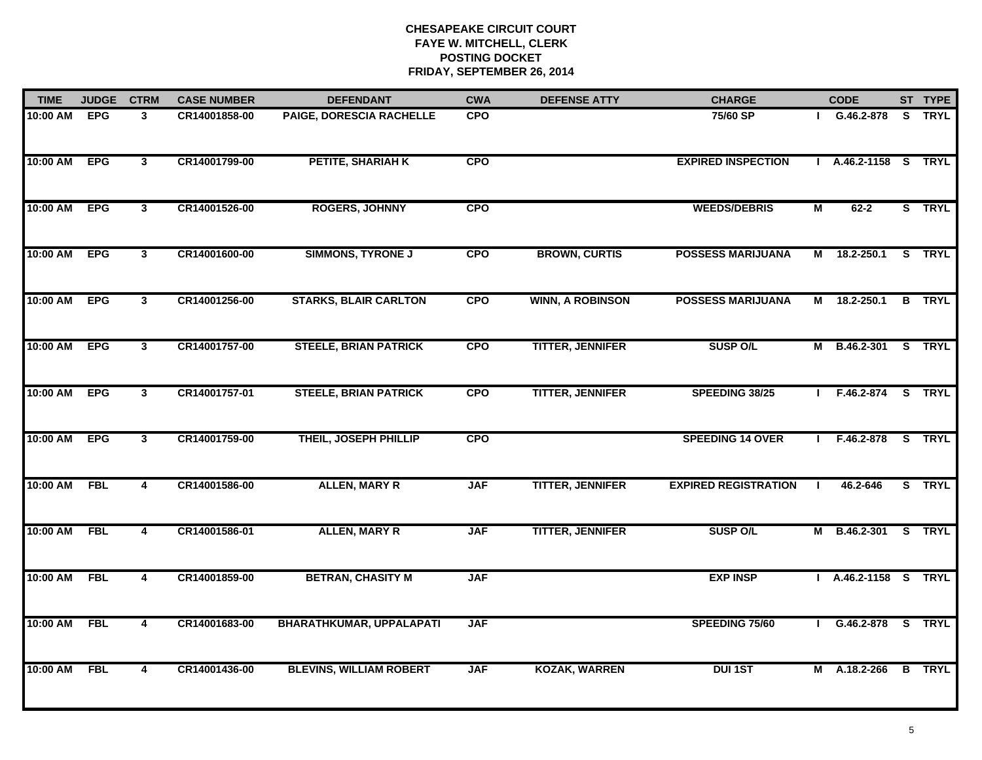| <b>TIME</b><br><b>JUDGE</b> |            | <b>CTRM</b>             | <b>CASE NUMBER</b> | <b>DEFENDANT</b>                | <b>CWA</b> | <b>DEFENSE ATTY</b>     | <b>CHARGE</b>               |                | <b>CODE</b>          | ST TYPE       |
|-----------------------------|------------|-------------------------|--------------------|---------------------------------|------------|-------------------------|-----------------------------|----------------|----------------------|---------------|
| 10:00 AM                    | <b>EPG</b> | 3                       | CR14001858-00      | PAIGE, DORESCIA RACHELLE        | <b>CPO</b> |                         | 75/60 SP                    |                | G.46.2-878           | S TRYL        |
| 10:00 AM                    | <b>EPG</b> | $\mathbf{3}$            | CR14001799-00      | PETITE, SHARIAH K               | <b>CPO</b> |                         | <b>EXPIRED INSPECTION</b>   |                | A.46.2-1158 S TRYL   |               |
| 10:00 AM                    | <b>EPG</b> | $\mathbf{3}$            | CR14001526-00      | <b>ROGERS, JOHNNY</b>           | <b>CPO</b> |                         | <b>WEEDS/DEBRIS</b>         | $\overline{M}$ | $62 - 2$             | S TRYL        |
| 10:00 AM                    | <b>EPG</b> | $\mathbf{3}$            | CR14001600-00      | <b>SIMMONS, TYRONE J</b>        | <b>CPO</b> | <b>BROWN, CURTIS</b>    | <b>POSSESS MARIJUANA</b>    | M              | 18.2-250.1           | S TRYL        |
| 10:00 AM                    | <b>EPG</b> | $\mathbf{3}$            | CR14001256-00      | <b>STARKS, BLAIR CARLTON</b>    | <b>CPO</b> | <b>WINN, A ROBINSON</b> | <b>POSSESS MARIJUANA</b>    | M              | $18.2 - 250.1$       | <b>B</b> TRYL |
| 10:00 AM                    | <b>EPG</b> | $\mathbf{3}$            | CR14001757-00      | <b>STEELE, BRIAN PATRICK</b>    | <b>CPO</b> | <b>TITTER, JENNIFER</b> | <b>SUSP O/L</b>             |                | M B.46.2-301 S TRYL  |               |
| 10:00 AM                    | <b>EPG</b> | $\overline{3}$          | CR14001757-01      | <b>STEELE, BRIAN PATRICK</b>    | <b>CPO</b> | <b>TITTER, JENNIFER</b> | SPEEDING 38/25              |                | F.46.2-874 S TRYL    |               |
| 10:00 AM                    | <b>EPG</b> | $\mathbf{3}$            | CR14001759-00      | THEIL, JOSEPH PHILLIP           | <b>CPO</b> |                         | <b>SPEEDING 14 OVER</b>     |                | F.46.2-878           | S TRYL        |
| 10:00 AM                    | <b>FBL</b> | 4                       | CR14001586-00      | <b>ALLEN, MARY R</b>            | <b>JAF</b> | <b>TITTER, JENNIFER</b> | <b>EXPIRED REGISTRATION</b> |                | 46.2-646             | S TRYL        |
| 10:00 AM                    | <b>FBL</b> | 4                       | CR14001586-01      | <b>ALLEN, MARY R</b>            | <b>JAF</b> | <b>TITTER, JENNIFER</b> | <b>SUSP O/L</b>             |                | M B.46.2-301         | S TRYL        |
| 10:00 AM                    | <b>FBL</b> | 4                       | CR14001859-00      | <b>BETRAN, CHASITY M</b>        | <b>JAF</b> |                         | <b>EXP INSP</b>             |                | I A.46.2-1158 S TRYL |               |
| 10:00 AM                    | <b>FBL</b> | $\overline{\mathbf{4}}$ | CR14001683-00      | <b>BHARATHKUMAR, UPPALAPATI</b> | <b>JAF</b> |                         | SPEEDING 75/60              |                | G.46.2-878 S TRYL    |               |
| 10:00 AM                    | <b>FBL</b> | $\overline{\mathbf{4}}$ | CR14001436-00      | <b>BLEVINS, WILLIAM ROBERT</b>  | <b>JAF</b> | <b>KOZAK, WARREN</b>    | <b>DUI 1ST</b>              |                | M A.18.2-266         | <b>B</b> TRYL |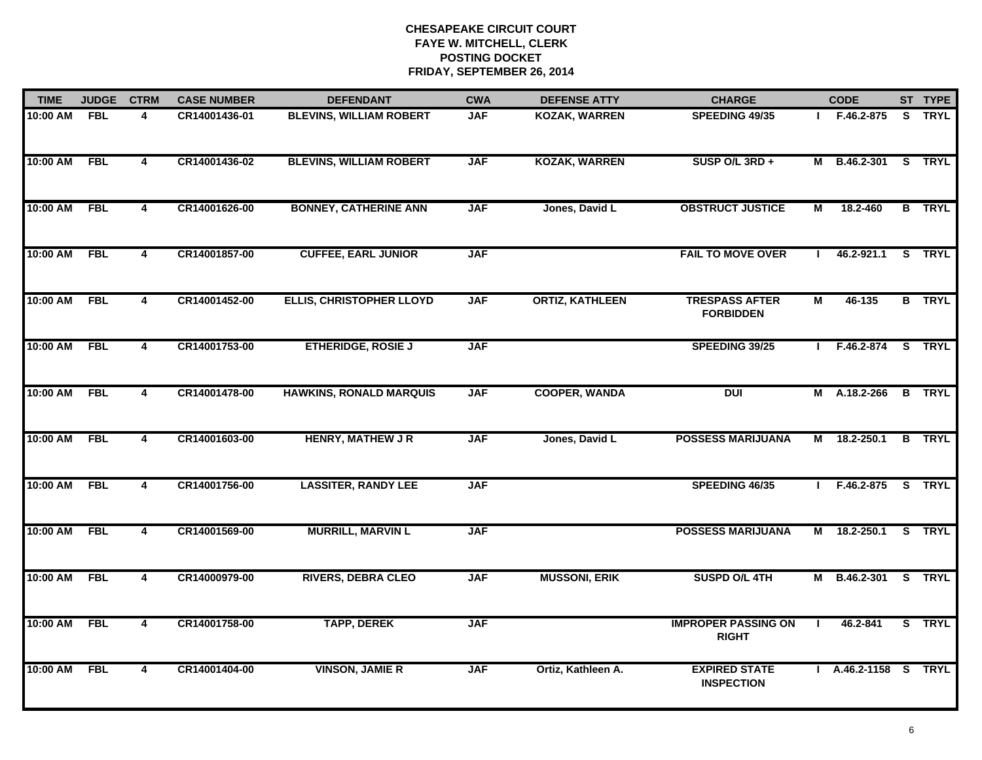| <b>TIME</b> | <b>JUDGE</b> | <b>CTRM</b>             | <b>CASE NUMBER</b> | <b>DEFENDANT</b>               | <b>CWA</b> | <b>DEFENSE ATTY</b>    | <b>CHARGE</b>                              |              | <b>CODE</b>          | ST TYPE       |
|-------------|--------------|-------------------------|--------------------|--------------------------------|------------|------------------------|--------------------------------------------|--------------|----------------------|---------------|
| 10:00 AM    | <b>FBL</b>   | 4                       | CR14001436-01      | <b>BLEVINS, WILLIAM ROBERT</b> | <b>JAF</b> | <b>KOZAK, WARREN</b>   | <b>SPEEDING 49/35</b>                      |              | $I$ F.46.2-875       | S TRYL        |
| 10:00 AM    | <b>FBL</b>   | 4                       | CR14001436-02      | <b>BLEVINS, WILLIAM ROBERT</b> | <b>JAF</b> | <b>KOZAK, WARREN</b>   | SUSP O/L 3RD +                             |              | M B.46.2-301         | S TRYL        |
| 10:00 AM    | <b>FBL</b>   | 4                       | CR14001626-00      | <b>BONNEY, CATHERINE ANN</b>   | <b>JAF</b> | Jones, David L         | <b>OBSTRUCT JUSTICE</b>                    | М            | 18.2-460             | <b>B</b> TRYL |
| 10:00 AM    | <b>FBL</b>   | 4                       | CR14001857-00      | <b>CUFFEE, EARL JUNIOR</b>     | <b>JAF</b> |                        | <b>FAIL TO MOVE OVER</b>                   |              | 46.2-921.1           | S TRYL        |
| 10:00 AM    | <b>FBL</b>   | 4                       | CR14001452-00      | ELLIS, CHRISTOPHER LLOYD       | <b>JAF</b> | <b>ORTIZ, KATHLEEN</b> | <b>TRESPASS AFTER</b><br><b>FORBIDDEN</b>  | M            | 46-135               | <b>B</b> TRYL |
| 10:00 AM    | <b>FBL</b>   | $\overline{\mathbf{4}}$ | CR14001753-00      | <b>ETHERIDGE, ROSIE J</b>      | <b>JAF</b> |                        | SPEEDING 39/25                             | $\mathbf{L}$ | F.46.2-874           | S TRYL        |
| 10:00 AM    | <b>FBL</b>   | 4                       | CR14001478-00      | <b>HAWKINS, RONALD MARQUIS</b> | <b>JAF</b> | <b>COOPER, WANDA</b>   | <b>DUI</b>                                 |              | M A.18.2-266         | <b>B</b> TRYL |
| 10:00 AM    | <b>FBL</b>   | 4                       | CR14001603-00      | <b>HENRY, MATHEW J R</b>       | <b>JAF</b> | Jones, David L         | <b>POSSESS MARIJUANA</b>                   |              | M 18.2-250.1         | <b>B</b> TRYL |
| 10:00 AM    | <b>FBL</b>   | 4                       | CR14001756-00      | <b>LASSITER, RANDY LEE</b>     | <b>JAF</b> |                        | SPEEDING 46/35                             |              | $F.46.2 - 875$       | S TRYL        |
| 10:00 AM    | <b>FBL</b>   | 4                       | CR14001569-00      | <b>MURRILL, MARVIN L</b>       | <b>JAF</b> |                        | <b>POSSESS MARIJUANA</b>                   | Μ            | 18.2-250.1           | S TRYL        |
| 10:00 AM    | <b>FBL</b>   | 4                       | CR14000979-00      | <b>RIVERS, DEBRA CLEO</b>      | <b>JAF</b> | <b>MUSSONI, ERIK</b>   | SUSPD O/L 4TH                              |              | M B.46.2-301 S TRYL  |               |
| 10:00 AM    | <b>FBL</b>   | $\overline{\mathbf{4}}$ | CR14001758-00      | <b>TAPP, DEREK</b>             | <b>JAF</b> |                        | <b>IMPROPER PASSING ON</b><br><b>RIGHT</b> | л.           | 46.2-841             | S TRYL        |
| 10:00 AM    | FBL          | 4                       | CR14001404-00      | <b>VINSON, JAMIE R</b>         | <b>JAF</b> | Ortiz, Kathleen A.     | <b>EXPIRED STATE</b><br><b>INSPECTION</b>  |              | I A.46.2-1158 S TRYL |               |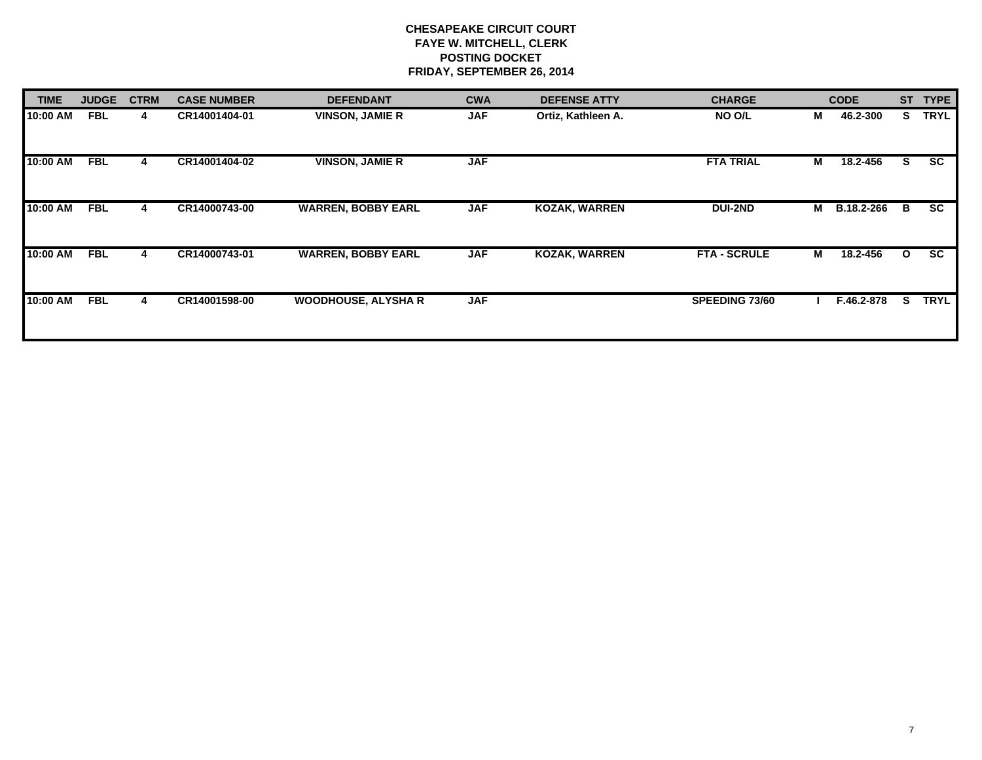| <b>TIME</b> | <b>JUDGE</b> | <b>CTRM</b> | <b>CASE NUMBER</b> | <b>DEFENDANT</b>           | <b>CWA</b> | <b>DEFENSE ATTY</b>  | <b>CHARGE</b>       |               | <b>CODE</b>       | <b>ST</b>    | <b>TYPE</b> |
|-------------|--------------|-------------|--------------------|----------------------------|------------|----------------------|---------------------|---------------|-------------------|--------------|-------------|
| 10:00 AM    | <b>FBL</b>   | 4           | CR14001404-01      | <b>VINSON, JAMIE R</b>     | <b>JAF</b> | Ortiz, Kathleen A.   | NO O/L              | М<br>46.2-300 |                   | S.           | <b>TRYL</b> |
| 10:00 AM    | <b>FBL</b>   | 4           | CR14001404-02      | <b>VINSON, JAMIE R</b>     | <b>JAF</b> |                      | <b>FTA TRIAL</b>    | М             | 18.2-456          | S.           | <b>SC</b>   |
| 10:00 AM    | <b>FBL</b>   | 4           | CR14000743-00      | <b>WARREN, BOBBY EARL</b>  | <b>JAF</b> | <b>KOZAK, WARREN</b> | <b>DUI-2ND</b>      | М             | <b>B.18.2-266</b> | B            | <b>SC</b>   |
| 10:00 AM    | <b>FBL</b>   | 4           | CR14000743-01      | <b>WARREN, BOBBY EARL</b>  | <b>JAF</b> | <b>KOZAK, WARREN</b> | <b>FTA - SCRULE</b> | М             | 18.2-456          | $\mathbf{o}$ | <b>SC</b>   |
| 10:00 AM    | <b>FBL</b>   | 4           | CR14001598-00      | <b>WOODHOUSE, ALYSHA R</b> | <b>JAF</b> |                      | SPEEDING 73/60      |               | F.46.2-878        | s            | <b>TRYL</b> |